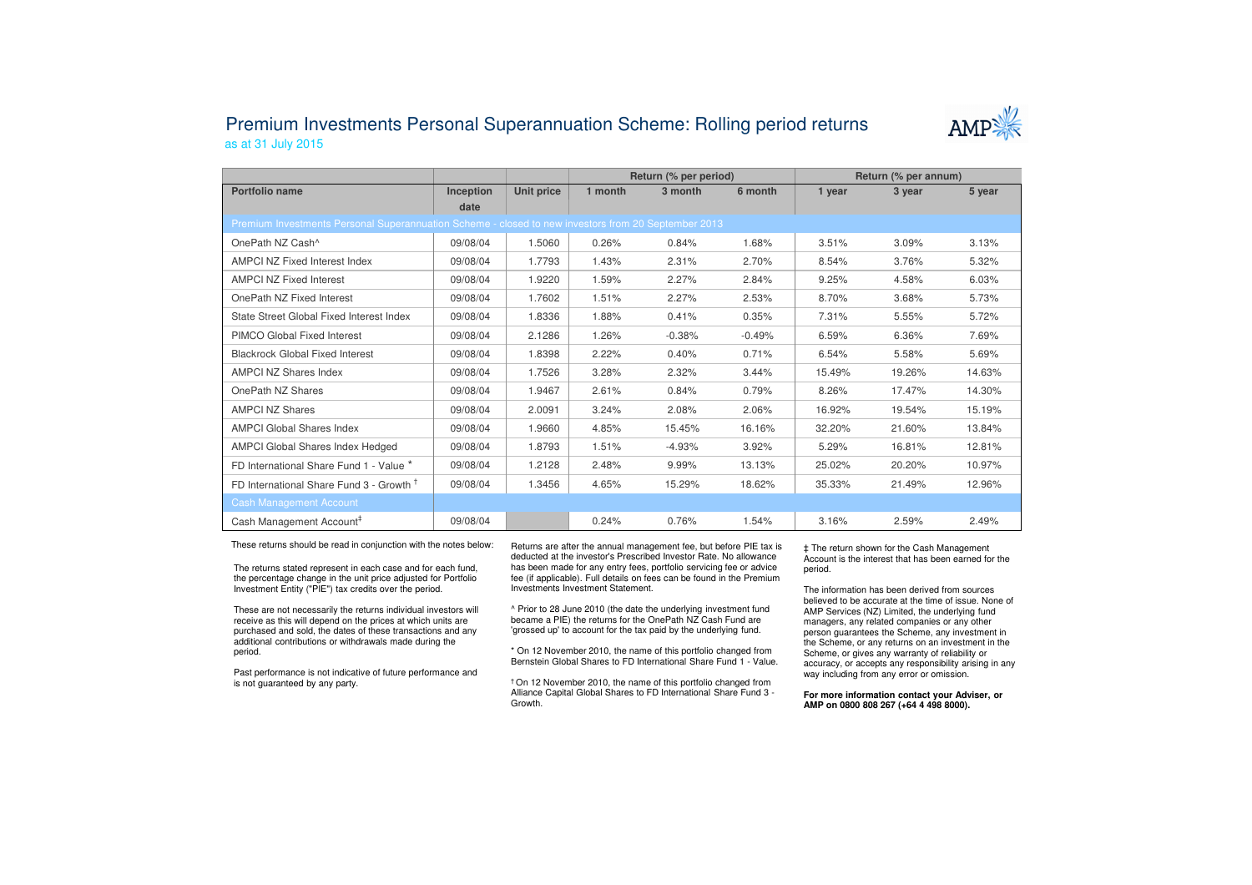## Premium Investments Personal Superannuation Scheme: Rolling period returnsas at 31 July 2015



|                                                                                                     |           |            | Return (% per period) |          |          | Return (% per annum) |        |        |  |  |
|-----------------------------------------------------------------------------------------------------|-----------|------------|-----------------------|----------|----------|----------------------|--------|--------|--|--|
| Portfolio name                                                                                      | Inception | Unit price | 1 month               | 3 month  | 6 month  | 1 year               | 3 year | 5 year |  |  |
|                                                                                                     | date      |            |                       |          |          |                      |        |        |  |  |
| Premium Investments Personal Superannuation Scheme - closed to new investors from 20 September 2013 |           |            |                       |          |          |                      |        |        |  |  |
| OnePath NZ Cash^                                                                                    | 09/08/04  | 1.5060     | 0.26%                 | 0.84%    | 1.68%    | 3.51%                | 3.09%  | 3.13%  |  |  |
| AMPCI NZ Fixed Interest Index                                                                       | 09/08/04  | 1.7793     | 1.43%                 | 2.31%    | 2.70%    | 8.54%                | 3.76%  | 5.32%  |  |  |
| <b>AMPCI NZ Fixed Interest</b>                                                                      | 09/08/04  | 1.9220     | 1.59%                 | 2.27%    | 2.84%    | 9.25%                | 4.58%  | 6.03%  |  |  |
| OnePath NZ Fixed Interest                                                                           | 09/08/04  | 1.7602     | 1.51%                 | 2.27%    | 2.53%    | 8.70%                | 3.68%  | 5.73%  |  |  |
| State Street Global Fixed Interest Index                                                            | 09/08/04  | 1.8336     | 1.88%                 | 0.41%    | 0.35%    | 7.31%                | 5.55%  | 5.72%  |  |  |
| PIMCO Global Fixed Interest                                                                         | 09/08/04  | 2.1286     | 1.26%                 | $-0.38%$ | $-0.49%$ | 6.59%                | 6.36%  | 7.69%  |  |  |
| <b>Blackrock Global Fixed Interest</b>                                                              | 09/08/04  | 1.8398     | 2.22%                 | 0.40%    | 0.71%    | 6.54%                | 5.58%  | 5.69%  |  |  |
| <b>AMPCI NZ Shares Index</b>                                                                        | 09/08/04  | 1.7526     | 3.28%                 | 2.32%    | 3.44%    | 15.49%               | 19.26% | 14.63% |  |  |
| OnePath NZ Shares                                                                                   | 09/08/04  | 1.9467     | 2.61%                 | 0.84%    | 0.79%    | 8.26%                | 17.47% | 14.30% |  |  |
| <b>AMPCI NZ Shares</b>                                                                              | 09/08/04  | 2.0091     | 3.24%                 | 2.08%    | 2.06%    | 16.92%               | 19.54% | 15.19% |  |  |
| <b>AMPCI Global Shares Index</b>                                                                    | 09/08/04  | 1.9660     | 4.85%                 | 15.45%   | 16.16%   | 32.20%               | 21.60% | 13.84% |  |  |
| <b>AMPCI Global Shares Index Hedged</b>                                                             | 09/08/04  | 1.8793     | 1.51%                 | $-4.93%$ | 3.92%    | 5.29%                | 16.81% | 12.81% |  |  |
| FD International Share Fund 1 - Value *                                                             | 09/08/04  | 1.2128     | 2.48%                 | 9.99%    | 13.13%   | 25.02%               | 20.20% | 10.97% |  |  |
| FD International Share Fund 3 - Growth 1                                                            | 09/08/04  | 1.3456     | 4.65%                 | 15.29%   | 18.62%   | 35.33%               | 21.49% | 12.96% |  |  |
| <b>Cash Management Account</b>                                                                      |           |            |                       |          |          |                      |        |        |  |  |
| Cash Management Account <sup>#</sup>                                                                | 09/08/04  |            | 0.24%                 | 0.76%    | 1.54%    | 3.16%                | 2.59%  | 2.49%  |  |  |

These returns should be read in conjunction with the notes below:

The returns stated represent in each case and for each fund, the percentage change in the unit price adjusted for Portfolio Investment Entity ("PIE") tax credits over the period.

These are not necessarily the returns individual investors will receive as this will depend on the prices at which units are purchased and sold, the dates of these transactions and any additional contributions or withdrawals made during the period.

Past performance is not indicative of future performance and is not guaranteed by any party.

Returns are after the annual management fee, but before PIE tax is deducted at the investor's Prescribed Investor Rate. No allowance has been made for any entry fees, portfolio servicing fee or advice fee (if applicable). Full details on fees can be found in the Premium Investments Investment Statement.

^ Prior to 28 June 2010 (the date the underlying investment fund became a PIE) the returns for the OnePath NZ Cash Fund are 'grossed up' to account for the tax paid by the underlying fund.

\* On 12 November 2010, the name of this portfolio changed from Bernstein Global Shares to FD International Share Fund 1 - Value.

† On 12 November 2010, the name of this portfolio changed from Alliance Capital Global Shares to FD International Share Fund 3 -Growth.

‡ The return shown for the Cash Management Account is the interest that has been earned for the period.

The information has been derived from sources believed to be accurate at the time of issue. None of AMP Services (NZ) Limited, the underlying fund managers, any related companies or any other person guarantees the Scheme, any investment in the Scheme, or any returns on an investment in the Scheme, or gives any warranty of reliability or accuracy, or accepts any responsibility arising in any way including from any error or omission.

**For more information contact your Adviser, or AMP on 0800 808 267 (+64 4 498 8000).**